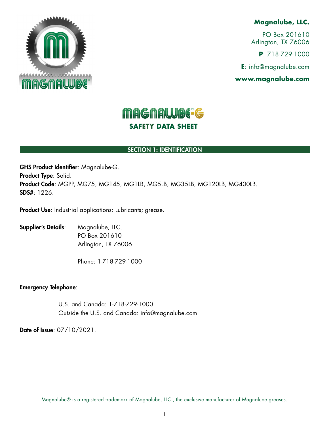

# **Magnalube, LLC.**

PO Box 201610 Arlington, TX 76006

**P**: 718-729-1000

**E**: info@magnalube.com

**www.magnalube.com**

# **MAGNALUBE-G SAFETY DATA SHEET**

# SECTION 1: IDENTIFICATION

GHS Product Identifier: Magnalube-G. Product Type: Solid. Product Code: MGPP, MG75, MG145, MG1LB, MG5LB, MG35LB, MG120LB, MG400LB.  $SDS#·1226$ 

Product Use: Industrial applications: Lubricants; grease.

Supplier's Details: Magnalube, LLC. PO Box 201610 Arlington, TX 76006

Phone: 1-718-729-1000

### Emergency Telephone:

 U.S. and Canada: 1-718-729-1000 Outside the U.S. and Canada: info@magnalube.com

Date of Issue: 07/10/2021.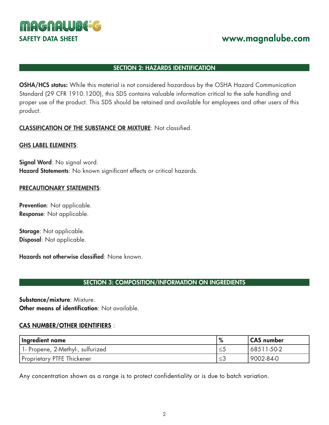

# SECTION 2: HAZARDS IDENTIFICATION

OSHA/HCS status: While this material is not considered hazardous by the OSHA Hazard Communication Standard (29 CFR 1910.1200), this SDS contains valuable information critical to the safe handling and proper use of the product. This SDS should be retained and available for employees and other users of this product.

# CLASSIFICATION OF THE SUBSTANCE OR MIXTURE: Not classified.

### GHS LABEL ELEMENTS:

Signal Word: No signal word. Hazard Statements: No known significant effects or critical hazards.

### PRECAUTIONARY STATEMENTS:

Prevention: Not applicable. Response: Not applicable.

Storage: Not applicable. Disposal: Not applicable.

Hazards not otherwise classified: None known.

# SECTION 3: COMPOSITION/INFORMATION ON INGREDIENTS

Substance/mixture: Mixture. Other means of identification: Not available

### CAS NUMBER/OTHER IDENTIFIERS :

| Ingredient name                    | % | CAS number |
|------------------------------------|---|------------|
| 1 - Propene, 2-Methyl-, sulfurized |   | 68511-50-2 |
| Proprietary PTFE Thickener         |   | 9002-84-0  |

Any concentration shown as a range is to protect confidentiality or is due to batch variation.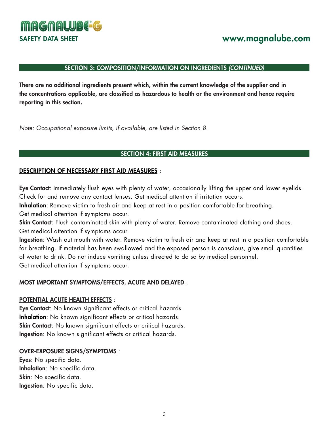

### SECTION 3: COMPOSITION/INFORMATION ON INGREDIENTS *(CONTINUED)*

There are no additional ingredients present which, within the current knowledge of the supplier and in the concentrations applicable, are classified as hazardous to health or the environment and hence require reporting in this section.

*Note: Occupational exposure limits, if available, are listed in Section 8.*

### SECTION 4: FIRST AID MEASURES

#### DESCRIPTION OF NECESSARY FIRST AID MEASURES :

Eye Contact: Immediately flush eyes with plenty of water, occasionally lifting the upper and lower eyelids. Check for and remove any contact lenses. Get medical attention if irritation occurs.

Inhalation: Remove victim to fresh air and keep at rest in a position comfortable for breathing. Get medical attention if symptoms occur.

Skin Contact: Flush contaminated skin with plenty of water. Remove contaminated clothing and shoes. Get medical attention if symptoms occur.

Ingestion: Wash out mouth with water. Remove victim to fresh air and keep at rest in a position comfortable for breathing. If material has been swallowed and the exposed person is conscious, give small quantities of water to drink. Do not induce vomiting unless directed to do so by medical personnel. Get medical attention if symptoms occur.

#### MOST IMPORTANT SYMPTOMS/EFFECTS, ACUTE AND DELAYED :

#### POTENTIAL ACUTE HEALTH EFFECTS :

Eye Contact: No known significant effects or critical hazards. Inhalation: No known significant effects or critical hazards. Skin Contact: No known significant effects or critical hazards. Ingestion: No known significant effects or critical hazards.

#### OVER-EXPOSURE SIGNS/SYMPTOMS :

Eyes: No specific data. Inhalation: No specific data. Skin: No specific data. Ingestion: No specific data.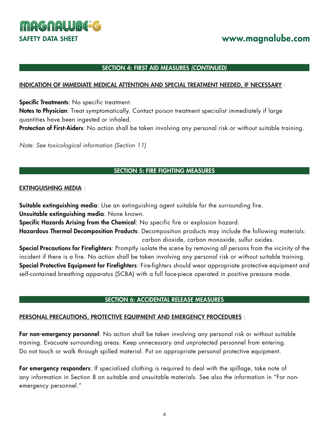

### SECTION 4: FIRST AID MEASURES *(CONTINUED)*

### INDICATION OF IMMEDIATE MEDICAL ATTENTION AND SPECIAL TREATMENT NEEDED, IF NECESSARY :

Specific Treatments: No specific treatment.

Notes to Physician: Treat symptomatically. Contact poison treatment specialist immediately if large quantities have been ingested or inhaled.

Protection of First-Aiders: No action shall be taken involving any personal risk or without suitable training.

*Note: See toxicological information (Section 11)*

# SECTION 5: FIRE FIGHTING MEASURES

### EXTINGUISHING MEDIA :

Suitable extinguishing media: Use an extinguishing agent suitable for the surrounding fire.

Unsuitable extinguishing media: None known.

Specific Hazards Arising from the Chemical: No specific fire or explosion hazard.

Hazardous Thermal Decomposition Products: Decomposition products may include the following materials: carbon dioxide, carbon monoxide, sulfur oxides.

Special Precautions for Firefighters: Promptly isolate the scene by removing all persons from the vicinity of the incident if there is a fire. No action shall be taken involving any personal risk or without suitable training. Special Protective Equipment for Firefighters: Fire-fighters should wear appropriate protective equipment and self-contained breathing apparatus (SCBA) with a full face-piece operated in positive pressure mode.

# SECTION 6: ACCIDENTAL RELEASE MEASURES

# PERSONAL PRECAUTIONS, PROTECTIVE EQUIPMENT AND EMERGENCY PROCEDURES :

For non-emergency personnel: No action shall be taken involving any personal risk or without suitable training. Evacuate surrounding areas. Keep unnecessary and unprotected personnel from entering. Do not touch or walk through spilled material. Put on appropriate personal protective equipment.

For emergency responders: If specialised clothing is required to deal with the spillage, take note of any information in Section 8 on suitable and unsuitable materials. See also the information in "For nonemergency personnel."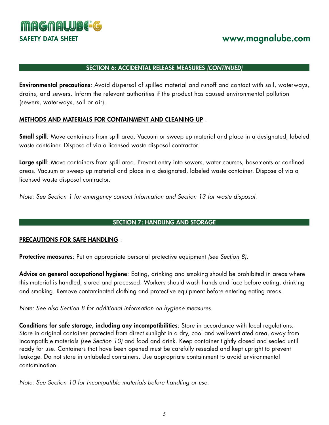

### SECTION 6: ACCIDENTAL RELEASE MEASURES *(CONTINUED)*

Environmental precautions: Avoid dispersal of spilled material and runoff and contact with soil, waterways, drains, and sewers. Inform the relevant authorities if the product has caused environmental pollution (sewers, waterways, soil or air).

# METHODS AND MATERIALS FOR CONTAINMENT AND CLEANING UP :

Small spill: Move containers from spill area. Vacuum or sweep up material and place in a designated, labeled waste container. Dispose of via a licensed waste disposal contractor.

Large spill: Move containers from spill area. Prevent entry into sewers, water courses, basements or confined areas. Vacuum or sweep up material and place in a designated, labeled waste container. Dispose of via a licensed waste disposal contractor.

*Note: See Section 1 for emergency contact information and Section 13 for waste disposal.*

# SECTION 7: HANDLING AND STORAGE

### PRECAUTIONS FOR SAFE HANDLING :

Protective measures: Put on appropriate personal protective equipment *(see Section 8).*

Advice on general occupational hygiene: Eating, drinking and smoking should be prohibited in areas where this material is handled, stored and processed. Workers should wash hands and face before eating, drinking and smoking. Remove contaminated clothing and protective equipment before entering eating areas.

*Note: See also Section 8 for additional information on hygiene measures.*

Conditions for safe storage, including any incompatibilities: Store in accordance with local regulations. Store in original container protected from direct sunlight in a dry, cool and well-ventilated area, away from incompatible materials *(see Section 10)* and food and drink. Keep container tightly closed and sealed until ready for use. Containers that have been opened must be carefully resealed and kept upright to prevent leakage. Do not store in unlabeled containers. Use appropriate containment to avoid environmental contamination.

*Note: See Section 10 for incompatible materials before handling or use.*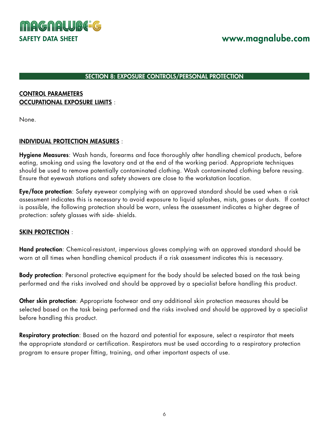

#### SECTION 8: EXPOSURE CONTROLS/PERSONAL PROTECTION

# CONTROL PARAMETERS OCCUPATIONAL EXPOSURE LIMITS :

None.

### INDIVIDUAL PROTECTION MEASURES :

Hygiene Measures: Wash hands, forearms and face thoroughly after handling chemical products, before eating, smoking and using the lavatory and at the end of the working period. Appropriate techniques should be used to remove potentially contaminated clothing. Wash contaminated clothing before reusing. Ensure that eyewash stations and safety showers are close to the workstation location.

Eye/face protection: Safety eyewear complying with an approved standard should be used when a risk assessment indicates this is necessary to avoid exposure to liquid splashes, mists, gases or dusts. If contact is possible, the following protection should be worn, unless the assessment indicates a higher degree of protection: safety glasses with side- shields.

# SKIN PROTECTION :

Hand protection: Chemical-resistant, impervious gloves complying with an approved standard should be worn at all times when handling chemical products if a risk assessment indicates this is necessary.

Body protection: Personal protective equipment for the body should be selected based on the task being performed and the risks involved and should be approved by a specialist before handling this product.

Other skin protection: Appropriate footwear and any additional skin protection measures should be selected based on the task being performed and the risks involved and should be approved by a specialist before handling this product.

Respiratory protection: Based on the hazard and potential for exposure, select a respirator that meets the appropriate standard or certification. Respirators must be used according to a respiratory protection program to ensure proper fitting, training, and other important aspects of use.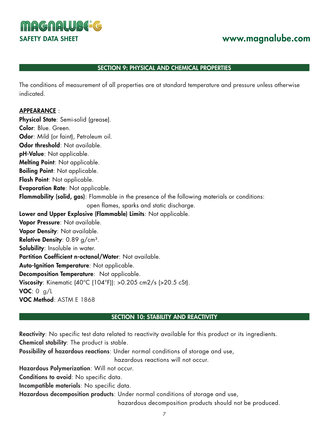**MAGNALUBE-G** 

# SAFETY DATA SHEET **www.magnalube.com**

### SECTION 9: PHYSICAL AND CHEMICAL PROPERTIES

The conditions of measurement of all properties are at standard temperature and pressure unless otherwise indicated.

### APPEARANCE :

Physical State: Semi-solid (grease). Color: Blue. Green. Odor: Mild (or faint), Petroleum oil. Odor threshold: Not available. pH-Value: Not applicable. Melting Point: Not applicable. Boiling Point: Not applicable. Flash Point: Not applicable. Evaporation Rate: Not applicable. Flammability (solid, gas): Flammable in the presence of the following materials or conditions: open flames, sparks and static discharge. Lower and Upper Explosive (Flammable) Limits: Not applicable. Vapor Pressure: Not available. Vapor Density: Not available. Relative Density: 0.89 g/cm<sup>3</sup>. Solubility: Insoluble in water. Partition Coefficient n-octanol/Water: Not available. Auto-Ignition Temperature: Not applicable. Decomposition Temperature: Not applicable. Viscosity: Kinematic (40°C (104°F)): >0.205 cm2/s (>20.5 cSt).  $VOC: 0 g/L$ VOC Method: ASTM E 1868

### SECTION 10: STABILITY AND REACTIVITY

Reactivity: No specific test data related to reactivity available for this product or its ingredients. Chemical stability: The product is stable.

Possibility of hazardous reactions: Under normal conditions of storage and use,

hazardous reactions will not occur.

Hazardous Polymerization: Will not occur.

Conditions to avoid: No specific data.

Incompatible materials: No specific data.

Hazardous decomposition products: Under normal conditions of storage and use,

hazardous decomposition products should not be produced.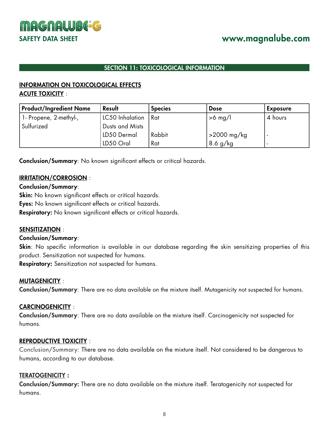



# SECTION 11: TOXICOLOGICAL INFORMATION

# INFORMATION ON TOXICOLOGICAL EFFECTS ACUTE TOXICITY :

| <b>Product/Ingredient Name</b> | Result                | <b>Species</b> | <b>Dose</b> | <b>Exposure</b> |
|--------------------------------|-----------------------|----------------|-------------|-----------------|
| 1- Propene, 2-methyl-,         | LC50 Inhalation   Rat |                | $>6$ mg/l   | 4 hours         |
| Sulfurized                     | Dusts and Mists       |                |             |                 |
|                                | LD50 Dermal           | Rabbit         | >2000 mg/kg |                 |
|                                | LD50 Oral             | Rat            | $8.6$ g/kg  |                 |

Conclusion/Summary: No known significant effects or critical hazards.

# IRRITATION/CORROSION :

# Conclusion/Summary:

Skin: No known significant effects or critical hazards.

Eyes: No known significant effects or critical hazards.

Respiratory: No known significant effects or critical hazards.

# SENSITIZATION :

# Conclusion/Summary:

Skin: No specific information is available in our database regarding the skin sensitizing properties of this product. Sensitization not suspected for humans.

Respiratory: Sensitization not suspected for humans.

# MUTAGENICITY :

Conclusion/Summary: There are no data available on the mixture itself. Mutagenicity not suspected for humans.

# CARCINOGENICITY :

Conclusion/Summary: There are no data available on the mixture itself. Carcinogenicity not suspected for humans.

# REPRODUCTIVE TOXICITY :

Conclusion/Summary: There are no data available on the mixture itself. Not considered to be dangerous to humans, according to our database.

# TERATOGENICITY :

Conclusion/Summary: There are no data available on the mixture itself. Teratogenicity not suspected for humans.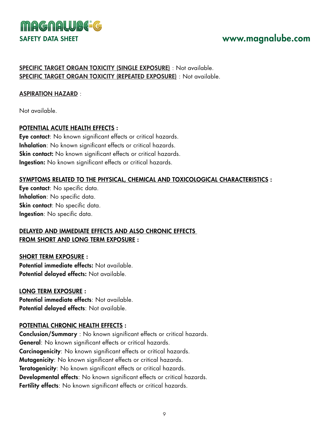

# SPECIFIC TARGET ORGAN TOXICITY (SINGLE EXPOSURE) : Not available. SPECIFIC TARGET ORGAN TOXICITY (REPEATED EXPOSURE) : Not available.

# ASPIRATION HAZARD :

Not available.

# POTENTIAL ACUTE HEALTH EFFECTS :

Eye contact: No known significant effects or critical hazards. Inhalation: No known significant effects or critical hazards. Skin contact: No known significant effects or critical hazards. Ingestion: No known significant effects or critical hazards.

# SYMPTOMS RELATED TO THE PHYSICAL, CHEMICAL AND TOXICOLOGICAL CHARACTERISTICS :

Eye contact: No specific data. Inhalation: No specific data. Skin contact: No specific data. Ingestion: No specific data.

# DELAYED AND IMMEDIATE EFFECTS AND ALSO CHRONIC EFFECTS FROM SHORT AND LONG TERM EXPOSURE :

SHORT TERM EXPOSURE : Potential immediate effects: Not available. Potential delayed effects: Not available.

LONG TERM EXPOSURE : Potential immediate effects: Not available. Potential delayed effects: Not available.

# POTENTIAL CHRONIC HEALTH EFFECTS :

Conclusion/Summary : No known significant effects or critical hazards. General: No known significant effects or critical hazards. Carcinogenicity: No known significant effects or critical hazards. Mutagenicity: No known significant effects or critical hazards. Teratogenicity: No known significant effects or critical hazards. Developmental effects: No known significant effects or critical hazards. Fertility effects: No known significant effects or critical hazards.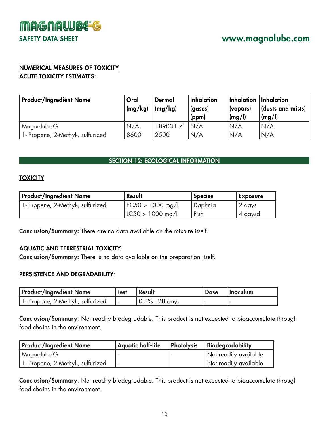

# NUMERICAL MEASURES OF TOXICITY ACUTE TOXICITY ESTIMATES:

| <b>Product/Ingredient Name</b>    | Oral<br>(mg/kg) | Dermal<br>(mg/kg) | Inhalation<br>(gases)<br>(ppm) | $\mid$ Inhalation $\mid$ Inhalation $\mid$<br>(vapors)<br>(mg/l) | (dusts and mists)<br>(mg/l) |
|-----------------------------------|-----------------|-------------------|--------------------------------|------------------------------------------------------------------|-----------------------------|
| Magnalube-G                       | N/A             | 189031.7          | N/A                            | N/A                                                              | N/A                         |
| 1- Propene, 2-Methyl-, sulfurized | 8600            | 2500              | N/A                            | N/A                                                              | N/A                         |

# SECTION 12: ECOLOGICAL INFORMATION

# **TOXICITY**

| Product/Ingredient Name           | Result               | <b>Species</b> | <b>Exposure</b> |
|-----------------------------------|----------------------|----------------|-----------------|
| 1- Propene, 2-Methyl-, sulfurized | $ EC50 > 1000$ mg/l  | ' Daphnia      | 2 days          |
|                                   | $ $ LC50 > 1000 mg/l | Fish           | 4 daysd         |

Conclusion/Summary: There are no data available on the mixture itself.

# AQUATIC AND TERRESTRIAL TOXICITY:

Conclusion/Summary: There is no data available on the preparation itself.

# PERSISTENCE AND DEGRADABILITY:

| Product/Ingredient Name            | <b>Test</b> | <b>Result</b>      | <b>Dose</b> | l Inoculum |
|------------------------------------|-------------|--------------------|-------------|------------|
| 1 - Propene, 2-Methyl-, sulfurized |             | $ 0.3\% - 28$ days |             |            |

Conclusion/Summary: Not readily biodegradable. This product is not expected to bioaccumulate through food chains in the environment.

| <b>Product/Ingredient Name</b>    | Aquatic half-life | Photolysis | Biodegradability      |
|-----------------------------------|-------------------|------------|-----------------------|
| Magnalube-G                       |                   |            | Not readily available |
| 1- Propene, 2-Methyl-, sulfurized |                   |            | Not readily available |

Conclusion/Summary: Not readily biodegradable. This product is not expected to bioaccumulate through food chains in the environment.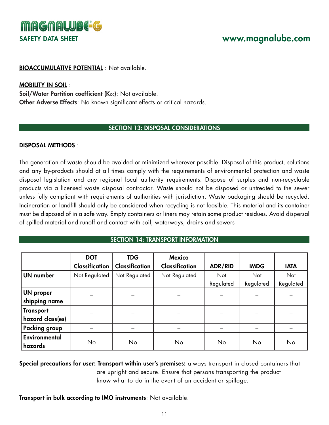

### BIOACCUMULATIVE POTENTIAL : Not available.

### MOBILITY IN SOIL :

Soil/Water Partition coefficient (Koc): Not available. Other Adverse Effects: No known significant effects or critical hazards.

# SECTION 13: DISPOSAL CONSIDERATIONS

### DISPOSAL METHODS :

The generation of waste should be avoided or minimized wherever possible. Disposal of this product, solutions and any by-products should at all times comply with the requirements of environmental protection and waste disposal legislation and any regional local authority requirements. Dispose of surplus and non-recyclable products via a licensed waste disposal contractor. Waste should not be disposed or untreated to the sewer unless fully compliant with requirements of authorities with jurisdiction. Waste packaging should be recycled. Incineration or landfill should only be considered when recycling is not feasible. This material and its container must be disposed of in a safe way. Empty containers or liners may retain some product residues. Avoid dispersal of spilled material and runoff and contact with soil, waterways, drains and sewers

SECTION 14: TRANSPORT INFORMATION

|                      | <b>DOT</b>            | <b>TDG</b>            | <b>Mexico</b>         |           |             |             |
|----------------------|-----------------------|-----------------------|-----------------------|-----------|-------------|-------------|
|                      | <b>Classification</b> | <b>Classification</b> | <b>Classification</b> | ADR/RID   | <b>IMDG</b> | <b>IATA</b> |
| <b>UN</b> number     | Not Regulated         | Not Regulated         | Not Regulated         | Not       | Not         | Not         |
|                      |                       |                       |                       | Regulated | Regulated   | Regulated   |
| <b>UN proper</b>     |                       |                       |                       |           |             |             |
| shipping name        |                       |                       |                       |           |             |             |
| <b>Transport</b>     |                       |                       |                       |           |             |             |
| hazard class(es)     |                       |                       |                       |           |             |             |
| <b>Packing group</b> |                       |                       |                       |           |             |             |
| Environmental        |                       |                       |                       |           |             |             |
| hazards              | No                    | No                    | No                    | No        | No          | No          |

Special precautions for user: Transport within user's premises: always transport in closed containers that are upright and secure. Ensure that persons transporting the product know what to do in the event of an accident or spillage.

Transport in bulk according to IMO instruments: Not available.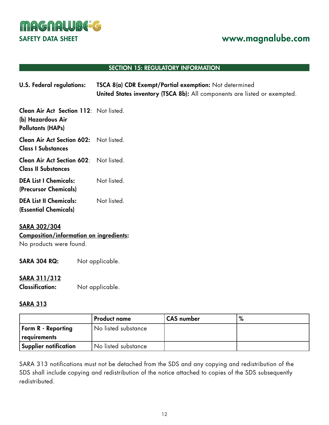

### SECTION 15: REGULATORY INFORMATION

| U.S. Federal regulations: | TSCA 8(a) CDR Exempt/Partial exemption: Not determined                    |
|---------------------------|---------------------------------------------------------------------------|
|                           | United States inventory (TSCA 8b): All components are listed or exempted. |

Clean Air Act Section 112: Not listed. (b) Hazardous Air Pollutants (HAPs)

Clean Air Act Section 602: Not listed. Class I Substances

Clean Air Act Section 602: Not listed. Class II Substances

- DEA List I Chemicals: Not listed. (Precursor Chemicals)
- DEA List II Chemicals: Not listed. (Essential Chemicals)

### SARA 302/304

# Composition/information on ingredients:

No products were found.

| Not applicable.<br><b>SARA 304 RQ:</b> |  |
|----------------------------------------|--|
|----------------------------------------|--|

# SARA 311/312

Classification: Not applicable.

# SARA 313

|                           | <b>Product name</b> | CAS number |  |
|---------------------------|---------------------|------------|--|
| <b>Form R</b> - Reporting | No listed substance |            |  |
| requirements              |                     |            |  |
| Supplier notification     | No listed substance |            |  |

SARA 313 notifications must not be detached from the SDS and any copying and redistribution of the SDS shall include copying and redistribution of the notice attached to copies of the SDS subsequently redistributed.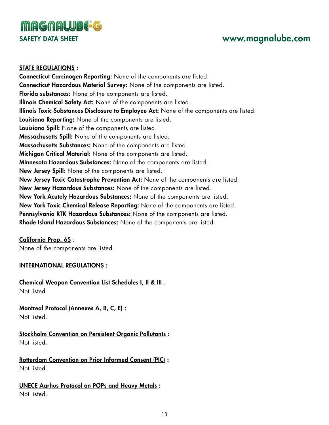

### STATE REGULATIONS :

Connecticut Carcinogen Reporting: None of the components are listed. Connecticut Hazardous Material Survey: None of the components are listed. Florida substances: None of the components are listed. Illinois Chemical Safety Act: None of the components are listed. Illinois Toxic Substances Disclosure to Employee Act: None of the components are listed. Louisiana Reporting: None of the components are listed. Louisiana Spill: None of the components are listed. Massachusetts Spill: None of the components are listed. Massachusetts Substances: None of the components are listed. Michigan Critical Material: None of the components are listed. Minnesota Hazardous Substances: None of the components are listed. New Jersey Spill: None of the components are listed. New Jersey Toxic Catastrophe Prevention Act: None of the components are listed. New Jersey Hazardous Substances: None of the components are listed. New York Acutely Hazardous Substances: None of the components are listed. New York Toxic Chemical Release Reporting: None of the components are listed. Pennsylvania RTK Hazardous Substances: None of the components are listed. Rhode Island Hazardous Substances: None of the components are listed.

# California Prop. 65 :

None of the components are listed.

# INTERNATIONAL REGULATIONS :

Chemical Weapon Convention List Schedules I, II & III : Not listed.

Montreal Protocol (Annexes A, B, C, E) :

Not listed.

Stockholm Convention on Persistent Organic Pollutants : Not listed.

Rotterdam Convention on Prior Informed Consent (PIC) : Not listed.

UNECE Aarhus Protocol on POPs and Heavy Metals : Not listed.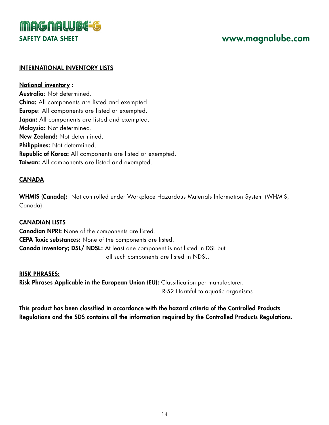

### INTERNATIONAL INVENTORY LISTS

National inventory : Australia: Not determined. China: All components are listed and exempted. Europe: All components are listed or exempted. Japan: All components are listed and exempted. Malaysia: Not determined. New Zealand: Not determined. Philippines: Not determined. Republic of Korea: All components are listed or exempted. Taiwan: All components are listed and exempted.

# CANADA

WHMIS (Canada): Not controlled under Workplace Hazardous Materials Information System (WHMIS, Canada).

# CANADIAN LISTS

Canadian NPRI: None of the components are listed. CEPA Toxic substances: None of the components are listed. Canada inventory; DSL/ NDSL: At least one component is not listed in DSL but all such components are listed in NDSL.

#### RISK PHRASES:

Risk Phrases Applicable in the European Union (EU): Classification per manufacturer. R-52 Harmful to aquatic organisms.

This product has been classified in accordance with the hazard criteria of the Controlled Products Regulations and the SDS contains all the information required by the Controlled Products Regulations.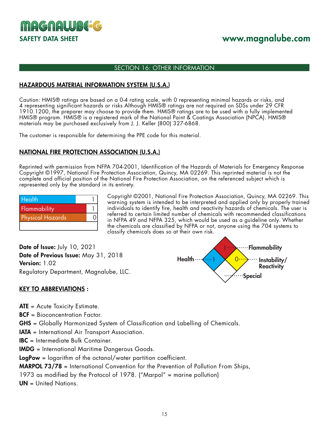

### SECTION 16: OTHER INFORMATION

### HAZARDOUS MATERIAL INFORMATION SYSTEM (U.S.A.)

Caution: HMIS® ratings are based on a 0-4 rating scale, with 0 representing minimal hazards or risks, and 4 representing significant hazards or risks Although HMIS® ratings are not required on SDSs under 29 CFR 1910.1200, the preparer may choose to provide them. HMIS® ratings are to be used with a fully implemented HMIS® program. HMIS® is a registered mark of the National Paint & Coatings Association (NPCA). HMIS® materials may be purchased exclusively from J. J. Keller (800) 327-6868.

The customer is responsible for determining the PPE code for this material.

### NATIONAL FIRE PROTECTION ASSOCIATION (U.S.A.)

Reprinted with permission from NFPA 704-2001, Identification of the Hazards of Materials for Emergency Response Copyright ©1997, National Fire Protection Association, Quincy, MA 02269. This reprinted material is not the complete and official position of the National Fire Protection Association, on the referenced subject which is represented only by the standard in its entirety.

| <b>Health</b>           |  |
|-------------------------|--|
| Flammability            |  |
| <b>Physical Hazards</b> |  |
|                         |  |

Copyright ©2001, National Fire Protection Association, Quincy, MA 02269. This warning system is intended to be interpreted and applied only by properly trained individuals to identify fire, health and reactivity hazards of chemicals. The user is referred to certain limited number of chemicals with recommended classifications in NFPA 49 and NFPA 325, which would be used as a guideline only. Whether the chemicals are classified by NFPA or not, anyone using the 704 systems to classify chemicals does so at their own risk.

Date of Issue: July 10, 2021 Date of Previous Issue: May 31, 2018 Version: 1.02 Regulatory Department, Magnalube, LLC.



### KEY TO ABBREVIATIONS :

ATE = Acute Toxicity Estimate.

BCF = Bioconcentration Factor.

GHS = Globally Harmonized System of Classification and Labelling of Chemicals.

IATA = International Air Transport Association.

IBC = Intermediate Bulk Container.

IMDG = International Maritime Dangerous Goods.

LogPow = logarithm of the octanol/water partition coefficient.

MARPOL 73/78 = International Convention for the Prevention of Pollution From Ships,

1973 as modified by the Protocol of 1978. ("Marpol" = marine pollution)

UN = United Nations.